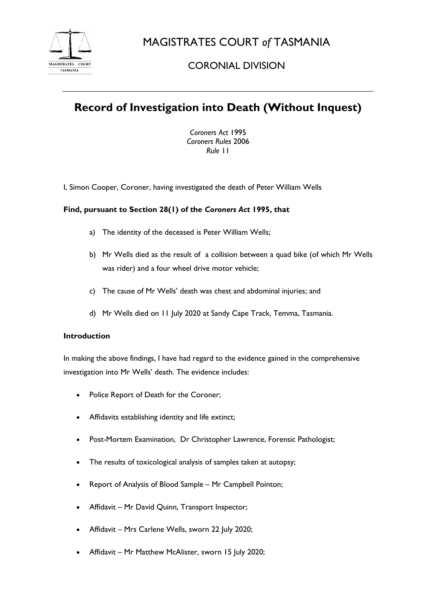

MAGISTRATES COURT *of* TASMANIA

## CORONIAL DIVISION

# **Record of Investigation into Death (Without Inquest)**

*Coroners Act* 1995 *Coroners Rules* 2006 *Rule* 11

I, Simon Cooper, Coroner, having investigated the death of Peter William Wells

### **Find, pursuant to Section 28(1) of the** *Coroners Act* **1995, that**

- a) The identity of the deceased is Peter William Wells;
- b) Mr Wells died as the result of a collision between a quad bike (of which Mr Wells was rider) and a four wheel drive motor vehicle;
- c) The cause of Mr Wells' death was chest and abdominal injuries; and
- d) Mr Wells died on 11 July 2020 at Sandy Cape Track, Temma, Tasmania.

#### **Introduction**

In making the above findings, I have had regard to the evidence gained in the comprehensive investigation into Mr Wells' death. The evidence includes:

- Police Report of Death for the Coroner;
- Affidavits establishing identity and life extinct;
- Post-Mortem Examination, Dr Christopher Lawrence, Forensic Pathologist;
- The results of toxicological analysis of samples taken at autopsy;
- Report of Analysis of Blood Sample Mr Campbell Pointon;
- Affidavit Mr David Quinn, Transport Inspector;
- Affidavit Mrs Carlene Wells, sworn 22 July 2020;
- Affidavit Mr Matthew McAlister, sworn 15 July 2020;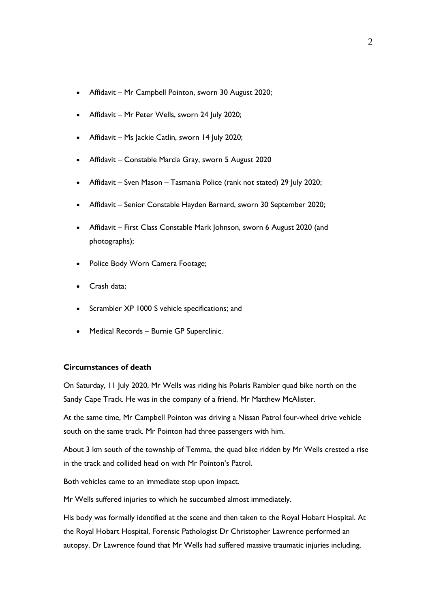- Affidavit Mr Campbell Pointon, sworn 30 August 2020;
- Affidavit Mr Peter Wells, sworn 24 July 2020;
- Affidavit Ms Jackie Catlin, sworn 14 July 2020;
- Affidavit Constable Marcia Gray, sworn 5 August 2020
- Affidavit Sven Mason Tasmania Police (rank not stated) 29 July 2020;
- Affidavit Senior Constable Hayden Barnard, sworn 30 September 2020;
- Affidavit First Class Constable Mark Johnson, sworn 6 August 2020 (and photographs);
- Police Body Worn Camera Footage;
- Crash data;
- Scrambler XP 1000 S vehicle specifications; and
- Medical Records Burnie GP Superclinic.

#### **Circumstances of death**

On Saturday, 11 July 2020, Mr Wells was riding his Polaris Rambler quad bike north on the Sandy Cape Track. He was in the company of a friend, Mr Matthew McAlister.

At the same time, Mr Campbell Pointon was driving a Nissan Patrol four-wheel drive vehicle south on the same track. Mr Pointon had three passengers with him.

About 3 km south of the township of Temma, the quad bike ridden by Mr Wells crested a rise in the track and collided head on with Mr Pointon's Patrol.

Both vehicles came to an immediate stop upon impact.

Mr Wells suffered injuries to which he succumbed almost immediately.

His body was formally identified at the scene and then taken to the Royal Hobart Hospital. At the Royal Hobart Hospital, Forensic Pathologist Dr Christopher Lawrence performed an autopsy. Dr Lawrence found that Mr Wells had suffered massive traumatic injuries including,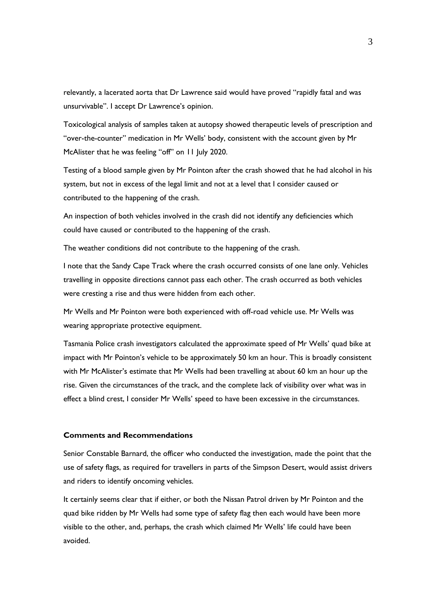relevantly, a lacerated aorta that Dr Lawrence said would have proved "rapidly fatal and was unsurvivable". I accept Dr Lawrence's opinion.

Toxicological analysis of samples taken at autopsy showed therapeutic levels of prescription and "over-the-counter" medication in Mr Wells' body, consistent with the account given by Mr McAlister that he was feeling "off" on 11 July 2020.

Testing of a blood sample given by Mr Pointon after the crash showed that he had alcohol in his system, but not in excess of the legal limit and not at a level that I consider caused or contributed to the happening of the crash.

An inspection of both vehicles involved in the crash did not identify any deficiencies which could have caused or contributed to the happening of the crash.

The weather conditions did not contribute to the happening of the crash.

I note that the Sandy Cape Track where the crash occurred consists of one lane only. Vehicles travelling in opposite directions cannot pass each other. The crash occurred as both vehicles were cresting a rise and thus were hidden from each other.

Mr Wells and Mr Pointon were both experienced with off-road vehicle use. Mr Wells was wearing appropriate protective equipment.

Tasmania Police crash investigators calculated the approximate speed of Mr Wells' quad bike at impact with Mr Pointon's vehicle to be approximately 50 km an hour. This is broadly consistent with Mr McAlister's estimate that Mr Wells had been travelling at about 60 km an hour up the rise. Given the circumstances of the track, and the complete lack of visibility over what was in effect a blind crest, I consider Mr Wells' speed to have been excessive in the circumstances.

#### **Comments and Recommendations**

Senior Constable Barnard, the officer who conducted the investigation, made the point that the use of safety flags, as required for travellers in parts of the Simpson Desert, would assist drivers and riders to identify oncoming vehicles.

It certainly seems clear that if either, or both the Nissan Patrol driven by Mr Pointon and the quad bike ridden by Mr Wells had some type of safety flag then each would have been more visible to the other, and, perhaps, the crash which claimed Mr Wells' life could have been avoided.